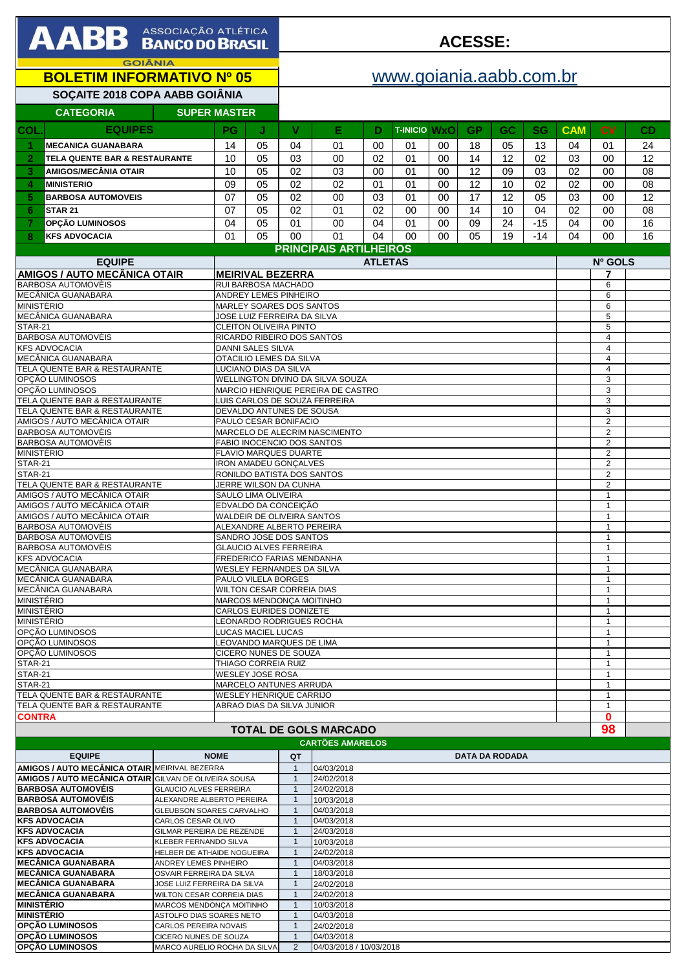|                                     | AABB ASSOCIAÇÃO ATLÉTICA                                      |                                                            |                                                                                |                                                     |                              |                                                         |                |                         |          | <b>ACESSE:</b> |                       |           |            |                                  |          |
|-------------------------------------|---------------------------------------------------------------|------------------------------------------------------------|--------------------------------------------------------------------------------|-----------------------------------------------------|------------------------------|---------------------------------------------------------|----------------|-------------------------|----------|----------------|-----------------------|-----------|------------|----------------------------------|----------|
|                                     | <b>GOIÂNIA</b><br><b>BOLETIM INFORMATIVO Nº 05</b>            |                                                            |                                                                                |                                                     |                              |                                                         |                | www.goiania.aabb.com.br |          |                |                       |           |            |                                  |          |
|                                     |                                                               |                                                            |                                                                                |                                                     |                              |                                                         |                |                         |          |                |                       |           |            |                                  |          |
|                                     | SOÇAITE 2018 COPA AABB GOIÂNIA<br><b>CATEGORIA</b>            | <b>SUPER MASTER</b>                                        |                                                                                |                                                     |                              |                                                         |                |                         |          |                |                       |           |            |                                  |          |
|                                     |                                                               |                                                            |                                                                                |                                                     |                              |                                                         |                |                         |          |                |                       |           |            |                                  |          |
| COL.                                | <b>EQUIPES</b>                                                |                                                            | PG                                                                             | J                                                   | v                            | Е                                                       | Ð              | <b>T-INICIO WXO</b>     |          | GР             | GC                    | <b>SG</b> | <b>CAM</b> | <b>CV</b>                        | CD       |
|                                     | <b>MECANICA GUANABARA</b>                                     |                                                            | 14                                                                             | 05                                                  | 04                           | 01                                                      | 00             | 01                      | 00       | 18             | 05                    | 13        | 04         | 01                               | 24       |
| $\overline{2}$                      | <b>TELA QUENTE BAR &amp; RESTAURANTE</b>                      |                                                            | 10                                                                             | 05                                                  | 03                           | 00                                                      | 02             | 01                      | 00       | 14             | 12                    | 02        | 03         | 00                               | 12       |
| 3                                   | <b>AMIGOS/MECÂNIA OTAIR</b>                                   |                                                            | 10                                                                             | 05                                                  | 02                           | 03                                                      | $00\,$         | 01                      | 00       | 12             | 09                    | 03        | 02         | 00                               | 08       |
| 4                                   | <b>MINISTERIO</b>                                             |                                                            | 09                                                                             | 05                                                  | 02                           | 02                                                      | 01             | 01                      | 00       | 12             | 10                    | 02        | 02         | 00                               | 08       |
| 5                                   | <b>BARBOSA AUTOMOVEIS</b><br><b>STAR 21</b>                   |                                                            | 07<br>07                                                                       | 05<br>05                                            | 02<br>02                     | 00                                                      | 03<br>02       | 01                      | 00<br>00 | 17<br>14       | 12<br>10              | 05<br>04  | 03<br>02   | 00                               | 12<br>08 |
| 6<br>$\overline{7}$                 | OPÇÃO LUMINOSOS                                               |                                                            | 04                                                                             | 05                                                  | 01                           | 01<br>00                                                | 04             | 00<br>01                | 00       | 09             | 24                    | $-15$     | 04         | 00<br>00                         | 16       |
| 8                                   | <b>KFS ADVOCACIA</b>                                          |                                                            | 01                                                                             | 05                                                  | 00                           | 01                                                      | 04             | 00                      | 00       | 05             | 19                    | $-14$     | 04         | 00                               | 16       |
|                                     |                                                               |                                                            |                                                                                |                                                     |                              | <b>PRINCIPAIS ARTILHEIROS</b>                           |                |                         |          |                |                       |           |            |                                  |          |
|                                     | <b>EQUIPE</b>                                                 |                                                            |                                                                                |                                                     |                              |                                                         | <b>ATLETAS</b> |                         |          |                |                       |           |            | Nº GOLS                          |          |
| <b>AMIGOS / AUTO MECÂNICA OTAIR</b> |                                                               |                                                            |                                                                                | <b>MEIRIVAL BEZERRA</b>                             |                              | 7                                                       |                |                         |          |                |                       |           |            |                                  |          |
| <b>BARBOSA AUTOMOVÈIS</b>           |                                                               |                                                            |                                                                                | RUI BARBOSA MACHADO                                 |                              |                                                         |                |                         |          |                |                       |           |            | 6                                |          |
| MECÂNICA GUANABARA                  |                                                               |                                                            |                                                                                | ANDREY LEMES PINHEIRO<br>MARLEY SOARES DOS SANTOS   |                              | 6<br>6                                                  |                |                         |          |                |                       |           |            |                                  |          |
|                                     | <b>MINISTÉRIO</b><br>MECÂNICA GUANABARA                       |                                                            |                                                                                | JOSE LUIZ FERREIRA DA SILVA                         |                              | 5                                                       |                |                         |          |                |                       |           |            |                                  |          |
| <b>STAR-21</b>                      |                                                               |                                                            |                                                                                | <b>CLEITON OLIVEIRA PINTO</b>                       |                              |                                                         |                |                         |          |                |                       |           |            | 5                                |          |
|                                     | <b>BARBOSA AUTOMOVÈIS</b>                                     |                                                            |                                                                                | RICARDO RIBEIRO DOS SANTOS                          |                              | $\overline{4}$                                          |                |                         |          |                |                       |           |            |                                  |          |
|                                     | <b>KFS ADVOCACIA</b><br>MECÂNICA GUANABARA                    |                                                            |                                                                                | DANNI SALES SILVA<br>OTACILIO LEMES DA SILVA        |                              |                                                         |                |                         |          |                |                       |           |            | $\overline{4}$<br>$\overline{4}$ |          |
|                                     | TELA QUENTE BAR & RESTAURANTE                                 |                                                            |                                                                                | LUCIANO DIAS DA SILVA                               |                              |                                                         |                |                         |          |                |                       |           |            | $\overline{4}$                   |          |
|                                     | OPCÃO LUMINOSOS                                               |                                                            | WELLINGTON DIVINO DA SILVA SOUZA<br>3                                          |                                                     |                              |                                                         |                |                         |          |                |                       |           |            |                                  |          |
|                                     | OPCÃO LUMINOSOS<br>TELA QUENTE BAR & RESTAURANTE              |                                                            | MARCIO HENRIQUE PEREIRA DE CASTRO<br>3<br>LUIS CARLOS DE SOUZA FERREIRA<br>3   |                                                     |                              |                                                         |                |                         |          |                |                       |           |            |                                  |          |
|                                     | TELA QUENTE BAR & RESTAURANTE                                 |                                                            | DEVALDO ANTUNES DE SOUSA<br>3                                                  |                                                     |                              |                                                         |                |                         |          |                |                       |           |            |                                  |          |
|                                     | AMIGOS / AUTO MECÂNICA OTAIR                                  |                                                            | $\overline{2}$<br>PAULO CESAR BONIFACIO                                        |                                                     |                              |                                                         |                |                         |          |                |                       |           |            |                                  |          |
|                                     | BARBOSA AUTOMOVÈIS<br>BARBOSA AUTOMOVÈIS                      |                                                            | $\overline{2}$<br>MARCELO DE ALECRIM NASCIMENTO<br>$\overline{2}$              |                                                     |                              |                                                         |                |                         |          |                |                       |           |            |                                  |          |
| <b>MINISTÉRIO</b>                   |                                                               |                                                            | FABIO INOCENCIO DOS SANTOS<br><b>FLAVIO MARQUES DUARTE</b><br>$\overline{2}$   |                                                     |                              |                                                         |                |                         |          |                |                       |           |            |                                  |          |
| STAR-21                             |                                                               |                                                            | <b>IRON AMADEU GONCALVES</b><br>$\overline{2}$                                 |                                                     |                              |                                                         |                |                         |          |                |                       |           |            |                                  |          |
| STAR-21                             |                                                               |                                                            | RONILDO BATISTA DOS SANTOS<br>$\overline{2}$                                   |                                                     |                              |                                                         |                |                         |          |                |                       |           |            |                                  |          |
|                                     | TELA QUENTE BAR & RESTAURANTE<br>AMIGOS / AUTO MECÂNICA OTAIR |                                                            | JERRE WILSON DA CUNHA<br>$\overline{2}$<br>SAULO LIMA OLIVEIRA<br>$\mathbf{1}$ |                                                     |                              |                                                         |                |                         |          |                |                       |           |            |                                  |          |
|                                     | AMIGOS / AUTO MECÂNICA OTAIR                                  |                                                            | EDVALDO DA CONCEIÇÃO<br>$\mathbf{1}$                                           |                                                     |                              |                                                         |                |                         |          |                |                       |           |            |                                  |          |
|                                     | AMIGOS / AUTO MECÂNICA OTAIR                                  |                                                            | <b>WALDEIR DE OLIVEIRA SANTOS</b>                                              | 1                                                   |                              |                                                         |                |                         |          |                |                       |           |            |                                  |          |
|                                     | BARBOSA AUTOMOVÈIS<br>BARBOSA AUTOMOVÈIS                      |                                                            |                                                                                | ALEXANDRE ALBERTO PEREIRA<br>SANDRO JOSE DOS SANTOS |                              |                                                         |                |                         |          |                |                       |           |            | $\mathbf{1}$                     |          |
|                                     | <b>BARBOSA AUTOMOVÈIS</b>                                     |                                                            |                                                                                | <b>GLAUCIO ALVES FERREIRA</b>                       |                              |                                                         |                |                         |          |                |                       |           |            | 1                                |          |
|                                     | <b>KFS ADVOCACIA</b>                                          |                                                            |                                                                                | FREDERICO FARIAS MENDANHA                           |                              |                                                         |                |                         |          |                |                       |           |            | 1                                |          |
|                                     | MECÂNICA GUANABARA                                            |                                                            |                                                                                | WESLEY FERNANDES DA SILVA                           |                              |                                                         |                |                         |          |                |                       |           |            | $\mathbf{1}$<br>1                |          |
|                                     | MECÂNICA GUANABARA<br>MECÂNICA GUANABARA                      |                                                            | PAULO VILELA BORGES<br>WILTON CESAR CORREIA DIAS                               |                                                     |                              |                                                         |                |                         |          |                |                       |           |            |                                  |          |
| <b>MINISTÉRIO</b>                   |                                                               |                                                            |                                                                                | MARCOS MENDONÇA MOITINHO                            |                              |                                                         |                |                         |          |                |                       |           |            | $\mathbf{1}$<br>1                |          |
| <b>MINISTÉRIO</b>                   |                                                               |                                                            |                                                                                | CARLOS EURIDES DONIZETE                             |                              |                                                         |                |                         |          |                |                       |           |            | $\mathbf{1}$                     |          |
| <b>MINISTÉRIO</b>                   | OPCÃO LUMINOSOS                                               |                                                            | LEONARDO RODRIGUES ROCHA<br>$\mathbf{1}$<br>LUCAS MACIEL LUCAS<br>$\mathbf{1}$ |                                                     |                              |                                                         |                |                         |          |                |                       |           |            |                                  |          |
|                                     | OPCÃO LUMINOSOS                                               |                                                            |                                                                                | LEOVANDO MARQUES DE LIMA                            |                              |                                                         |                |                         |          |                |                       |           |            | 1                                |          |
|                                     | OPCÃO LUMINOSOS                                               |                                                            |                                                                                | CICERO NUNES DE SOUZA                               |                              |                                                         |                |                         |          |                |                       |           |            | 1                                |          |
| <b>STAR-21</b><br><b>STAR-21</b>    |                                                               |                                                            |                                                                                | THIAGO CORREIA RUIZ<br>WESLEY JOSE ROSA             |                              |                                                         |                |                         |          |                |                       |           |            | 1<br>$\mathbf{1}$                |          |
| STAR-21                             |                                                               |                                                            |                                                                                | MARCELO ANTUNES ARRUDA                              |                              |                                                         |                |                         |          |                |                       |           |            | $\mathbf{1}$                     |          |
|                                     | TELA QUENTE BAR & RESTAURANTE                                 |                                                            |                                                                                | WESLEY HENRIQUE CARRIJO                             |                              |                                                         |                |                         |          |                |                       |           |            | 1<br>1                           |          |
|                                     | TELA QUENTE BAR & RESTAURANTE                                 |                                                            |                                                                                | ABRAO DIAS DA SILVA JUNIOR                          |                              |                                                         |                |                         |          |                |                       |           |            |                                  |          |
| <b>CONTRA</b>                       |                                                               |                                                            |                                                                                |                                                     |                              |                                                         |                |                         |          |                |                       |           |            | 0<br>98                          |          |
|                                     |                                                               |                                                            |                                                                                |                                                     |                              | <b>TOTAL DE GOLS MARCADO</b><br><b>CARTÕES AMARELOS</b> |                |                         |          |                |                       |           |            |                                  |          |
|                                     | <b>EQUIPE</b>                                                 |                                                            | <b>NOME</b>                                                                    |                                                     | QT                           |                                                         |                |                         |          |                | <b>DATA DA RODADA</b> |           |            |                                  |          |
|                                     | AMIGOS / AUTO MECÂNICA OTAIR MEIRIVAL BEZERRA                 |                                                            |                                                                                |                                                     | $\mathbf{1}$                 | 04/03/2018                                              |                |                         |          |                |                       |           |            |                                  |          |
|                                     | <b>AMIGOS / AUTO MECÂNICA OTAIR GILVAN DE OLIVEIRA SOUSA</b>  |                                                            |                                                                                |                                                     | $\mathbf{1}$                 | 24/02/2018                                              |                |                         |          |                |                       |           |            |                                  |          |
|                                     | <b>BARBOSA AUTOMOVÉIS</b><br><b>BARBOSA AUTOMOVÉIS</b>        | <b>GLAUCIO ALVES FERREIRA</b><br>ALEXANDRE ALBERTO PEREIRA |                                                                                |                                                     | $\mathbf{1}$<br>$\mathbf{1}$ | 24/02/2018<br>10/03/2018                                |                |                         |          |                |                       |           |            |                                  |          |
|                                     | <b>BARBOSA AUTOMOVÉIS</b>                                     | GLEUBSON SOARES CARVALHO                                   |                                                                                |                                                     | $\mathbf{1}$                 | 04/03/2018                                              |                |                         |          |                |                       |           |            |                                  |          |
|                                     | <b>KFS ADVOCACIA</b>                                          | CARLOS CESAR OLIVO                                         |                                                                                |                                                     | $\mathbf{1}$                 | 04/03/2018                                              |                |                         |          |                |                       |           |            |                                  |          |
|                                     | <b>KFS ADVOCACIA</b><br><b>KFS ADVOCACIA</b>                  | GILMAR PEREIRA DE REZENDE                                  |                                                                                |                                                     | $\mathbf 1$                  | 24/03/2018<br>10/03/2018                                |                |                         |          |                |                       |           |            |                                  |          |
|                                     | <b>KFS ADVOCACIA</b>                                          | KLEBER FERNANDO SILVA<br>HELBER DE ATHAIDE NOGUEIRA        |                                                                                |                                                     | $\mathbf{1}$                 | 24/02/2018                                              |                |                         |          |                |                       |           |            |                                  |          |
|                                     | <b>MECÂNICA GUANABARA</b>                                     | ANDREY LEMES PINHEIRO                                      |                                                                                |                                                     |                              | 04/03/2018                                              |                |                         |          |                |                       |           |            |                                  |          |

**MECÂNICA GUANABARA ANDREY LEMES PINHEIRO** 1

**OPÇÃO LUMINOSOS** CARLOS PEREIRA NOVAIS<br>**OPÇÃO LUMINOSOS** CICERO NUNES DE SOUZA

**MECÂNICA GUANABARA** OSVAIR FERREIRA DA SILVA 1 18/03/2018<br>**MECÂNICA GUANABARA** JOSE LUIZ FERREIRA DA SILVA 1 24/02/2018

**MECÂNICA GUANABARA** WILTON CESAR CORREIA DIAS 1 24/02/2018 **MINISTÉRIO MARCOS MENDONÇA MOITINHO 1 1 10/03/2018**<br>**MINISTÉRIO** ASTOLFO DIAS SOARES NETO 1 04/03/2018 **MINISTÉRIO** ASTOLFO DIAS SOARES NETO 1 04/03/2018<br> **OPÇÃO LUMINOSOS** CARLOS PEREIRA NOVAIS 1 24/02/2018

**JOSE LUIZ FERREIRA DA SILVA** | 1

**OPÇÃO LUMINOSOS** MARCO AURELIO ROCHA DA SILVA 2 04/03/2018 / 10/03/2018

CICERO NUNES DE SOUZA 1 04/03/2018